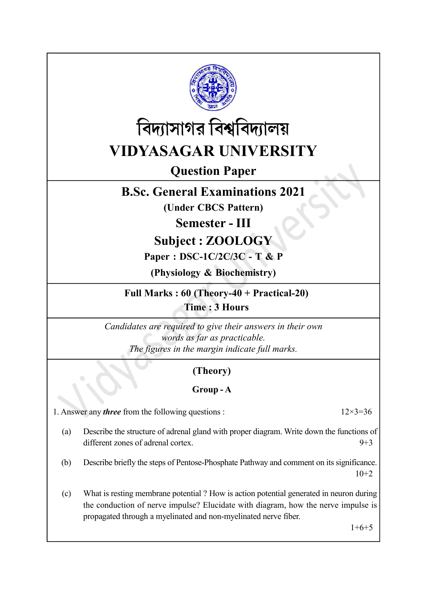



Question Paper

# B.Sc. General Examinations 2021

(Under CBCS Pattern)

Semester - III

Subject : ZOOLOGY

## Paper : DSC-1C/2C/3C - T & P

(Physiology & Biochemistry)

Full Marks : 60 (Theory-40 + Practical-20) Time : 3 Hours

Candidates are required to give their answers in their own words as far as practicable. The figures in the margin indicate full marks.

# (Theory)

## Group - A

1. Answer any *three* from the following questions :  $12\times3=36$ 

- (a) Describe the structure of adrenal gland with proper diagram. Write down the functions of different zones of adrenal cortex. 9+3
- (b) Describe briefly the steps of Pentose-Phosphate Pathway and comment on its significance. 10+2
- (c) What is resting membrane potential ? How is action potential generated in neuron during the conduction of nerve impulse? Elucidate with diagram, how the nerve impulse is propagated through a myelinated and non-myelinated nerve fiber.

 $1+6+5$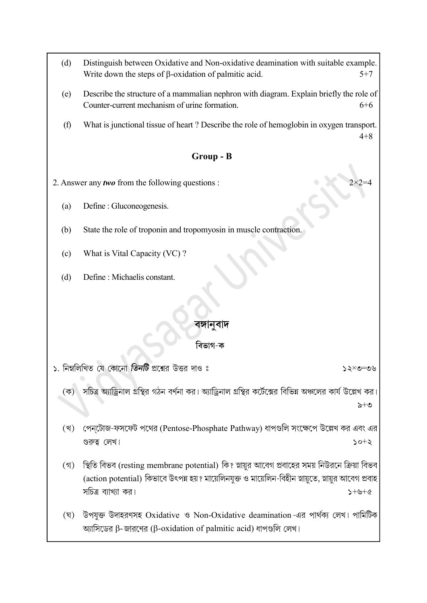- (d) Distinguish between Oxidative and Non-oxidative deamination with suitable example. Write down the steps of  $\beta$ -oxidation of palmitic acid.  $5+7$
- (e) Describe the structure of a mammalian nephron with diagram. Explain briefly the role of Counter-current mechanism of urine formation. 6+6
- (f) What is junctional tissue of heart ? Describe the role of hemoglobin in oxygen transport. 4+8

#### Group - B

2. Answer any *two* from the following questions :

- (a) Define : Gluconeogenesis.
- (b) State the role of troponin and tropomyosin in muscle contraction.
- (c) What is Vital Capacity (VC) ?
- (d) Define : Michaelis constant.

## বঙ্গানবাদ

#### বিভাগ-ক

১. নিম্নলিখিত যে কোনো তিনটি প্রশ্নের উত্তর দাও ঃ

সচিত্র অ্যাড্রিনাল গ্রন্থির গঠন বর্ণনা কর। অ্যাড্রিনাল গ্রন্থির কর্টেক্সের বিভিন্ন অঞ্চলের কার্য উল্লেখ কর।  $(\overline{\Phi})$  $\geq +\infty$ 

- পেন্টোজ-ফসফেট পথের (Pentose-Phosphate Pathway) ধাপগুলি সংক্ষেপে উল্লেখ কর এবং এর (খ) গুরুত্ব লেখ।  $5 + 02$
- (গ) স্থিতি বিভব (resting membrane potential) কি? স্নায়ুর আবেগ প্রবাহের সময় নিউরনে ক্রিয়া বিভব (action potential) কিভাবে উৎপন্ন হয়? মায়েলিনযুক্ত ও মায়েলিন-বিহীন স্নায়ুতে, স্নায়ুর আবেগ প্রবাহ সচিত্র ব্যাখ্যা কর।  $3 + 4 + 6$
- (ঘ) উপযুক্ত উদাহরণসহ Oxidative ও Non-Oxidative deamination -এর পার্থক্য লেখ। পামিটিক জ্যাসিডের β-জারণের (β-oxidation of palmitic acid) ধাপগুলি লেখ।

 $\mathcal{Y} \circ \mathcal{Y} = \mathcal{Y} \circ \mathcal{Y}$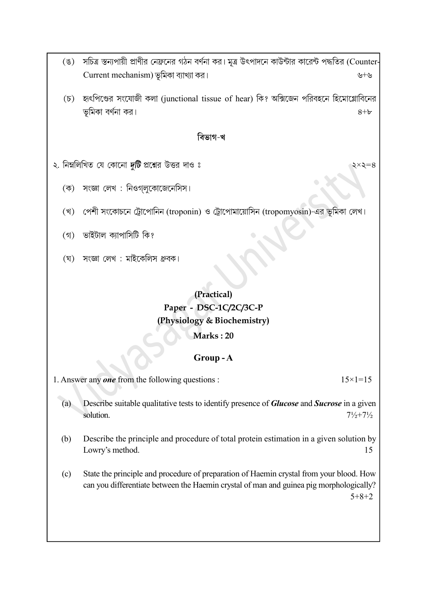- (ঙ) সচিত্র স্তন্যপায়ী প্রাণীর নেফ্রনের গঠন বর্ণনা কর। মূত্র উৎপাদনে কাউন্টার কারেন্ট পদ্ধতির (Counter- $Current\ mechanism)$  ভূমিকা ব্যাখ্যা কর।
- $(5)$  হাংপিণ্ডের সংযোজী কলা (junctional tissue of hear) কি? অক্সিজেন পরিবহনে হিমোগ্লোবিনের ভূমিকা বর্ণনা কর।  $8+b$

#### বিভাগ-খ

- ২. নিম্নলিখিত যে কোনো *দুটি* প্রশ্নের উত্তর দাও ঃ
	- সংজ্ঞা লেখ : নিওগলুকোজেনেসিস। (ক)
	- (খ) পেশী সংকোচনে ট্রোপোনিন (troponin) ও ট্রোপোমায়োসিন (tropomyosin)-এর ভূমিকা লেখ।
	- ভাইটাল ক্যাপাসিটি কি?  $($ গ)
	- (ঘ) সংজ্ঞা লেখ: মাইকেলিস ধ্রুবক।

# (Practical) Paper - DSC-1C/2C/3C-P (Physiology & Biochemistry) Marks : 20

## Group - A

1. Answer any one from the following questions :  $15 \times 1 = 15$ 

- (a) Describe suitable qualitative tests to identify presence of Glucose and Sucrose in a given solution.  $7\frac{1}{2} + 7\frac{1}{2}$
- (b) Describe the principle and procedure of total protein estimation in a given solution by Lowry's method. 15
- (c) State the principle and procedure of preparation of Haemin crystal from your blood. How can you differentiate between the Haemin crystal of man and guinea pig morphologically? 5+8+2

 $\xi \times \xi = 8$